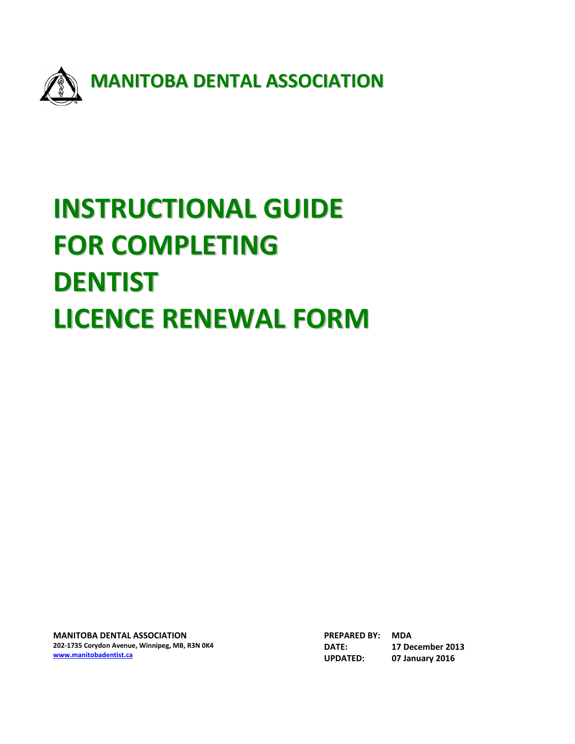

# **INSTRUCTIONAL GUIDE FOR COMPLETING DENTIST LICENCE RENEWAL FORM**

**MANITOBA DENTAL ASSOCIATION 202‐1735 Corydon Avenue, Winnipeg, MB, R3N 0K4 www.manitobadentist.ca**

**PREPARED BY: MDA DATE: 17 December 2013 UPDATED: 07 January 2016**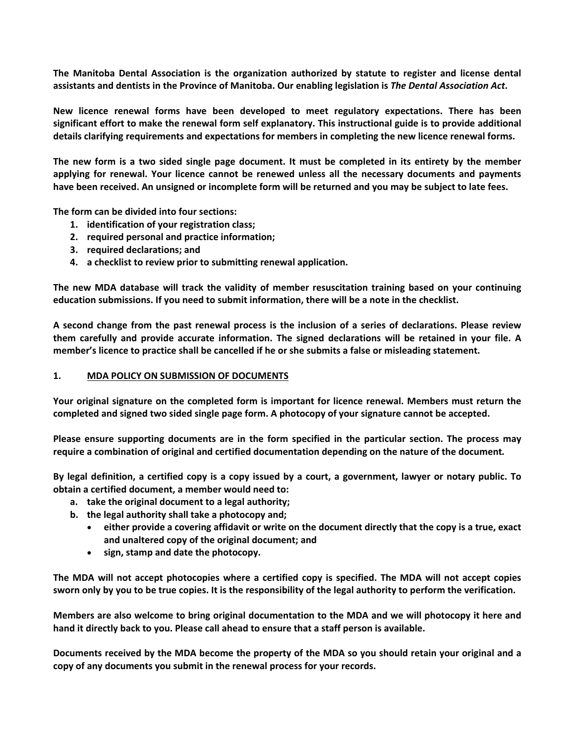**The Manitoba Dental Association is the organization authorized by statute to register and license dental assistants and dentists in the Province of Manitoba. Our enabling legislation is** *The Dental Association Act***.** 

**New licence renewal forms have been developed to meet regulatory expectations. There has been significant effort to make the renewal form self explanatory. This instructional guide is to provide additional details clarifying requirements and expectations for members in completing the new licence renewal forms.** 

**The new form is a two sided single page document. It must be completed in its entirety by the member applying for renewal. Your licence cannot be renewed unless all the necessary documents and payments have been received. An unsigned or incomplete form will be returned and you may be subject to late fees.** 

**The form can be divided into four sections:** 

- **1. identification of your registration class;**
- **2. required personal and practice information;**
- **3. required declarations; and**
- **4. a checklist to review prior to submitting renewal application.**

**The new MDA database will track the validity of member resuscitation training based on your continuing education submissions. If you need to submit information, there will be a note in the checklist.** 

**A second change from the past renewal process is the inclusion of a series of declarations. Please review them carefully and provide accurate information. The signed declarations will be retained in your file. A member's licence to practice shall be cancelled if he or she submits a false or misleading statement.** 

#### **1. MDA POLICY ON SUBMISSION OF DOCUMENTS**

**Your original signature on the completed form is important for licence renewal. Members must return the completed and signed two sided single page form. A photocopy of your signature cannot be accepted.** 

**Please ensure supporting documents are in the form specified in the particular section. The process may require a combination of original and certified documentation depending on the nature of the document***.* 

**By legal definition, a certified copy is a copy issued by a court, a government, lawyer or notary public. To obtain a certified document, a member would need to:** 

- **a. take the original document to a legal authority;**
- **b. the legal authority shall take a photocopy and;** 
	- **either provide a covering affidavit or write on the document directly that the copy is a true, exact and unaltered copy of the original document; and**
	- **sign, stamp and date the photocopy.**

**The MDA will not accept photocopies where a certified copy is specified. The MDA will not accept copies sworn only by you to be true copies. It is the responsibility of the legal authority to perform the verification.** 

**Members are also welcome to bring original documentation to the MDA and we will photocopy it here and hand it directly back to you. Please call ahead to ensure that a staff person is available.** 

**Documents received by the MDA become the property of the MDA so you should retain your original and a copy of any documents you submit in the renewal process for your records.**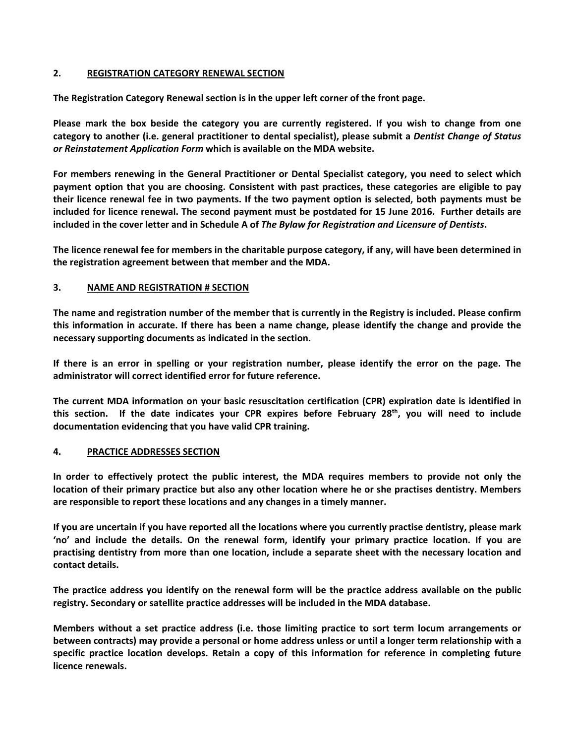# **2. REGISTRATION CATEGORY RENEWAL SECTION**

**The Registration Category Renewal section is in the upper left corner of the front page.** 

**Please mark the box beside the category you are currently registered. If you wish to change from one category to another (i.e. general practitioner to dental specialist), please submit a** *Dentist Change of Status or Reinstatement Application Form* **which is available on the MDA website.** 

**For members renewing in the General Practitioner or Dental Specialist category, you need to select which payment option that you are choosing. Consistent with past practices, these categories are eligible to pay their licence renewal fee in two payments. If the two payment option is selected, both payments must be included for licence renewal. The second payment must be postdated for 15 June 2016. Further details are included in the cover letter and in Schedule A of** *The Bylaw for Registration and Licensure of Dentists***.** 

**The licence renewal fee for members in the charitable purpose category, if any, will have been determined in the registration agreement between that member and the MDA.** 

## **3. NAME AND REGISTRATION # SECTION**

**The name and registration number of the member that is currently in the Registry is included. Please confirm this information in accurate. If there has been a name change, please identify the change and provide the necessary supporting documents as indicated in the section.** 

**If there is an error in spelling or your registration number, please identify the error on the page. The administrator will correct identified error for future reference.** 

**The current MDA information on your basic resuscitation certification (CPR) expiration date is identified in this section. If the date indicates your CPR expires before February 28th, you will need to include documentation evidencing that you have valid CPR training.** 

## **4. PRACTICE ADDRESSES SECTION**

**In order to effectively protect the public interest, the MDA requires members to provide not only the location of their primary practice but also any other location where he or she practises dentistry. Members are responsible to report these locations and any changes in a timely manner.** 

**If you are uncertain if you have reported all the locations where you currently practise dentistry, please mark 'no' and include the details. On the renewal form, identify your primary practice location. If you are practising dentistry from more than one location, include a separate sheet with the necessary location and contact details.** 

**The practice address you identify on the renewal form will be the practice address available on the public registry. Secondary or satellite practice addresses will be included in the MDA database.** 

**Members without a set practice address (i.e. those limiting practice to sort term locum arrangements or between contracts) may provide a personal or home address unless or until a longer term relationship with a specific practice location develops. Retain a copy of this information for reference in completing future licence renewals.**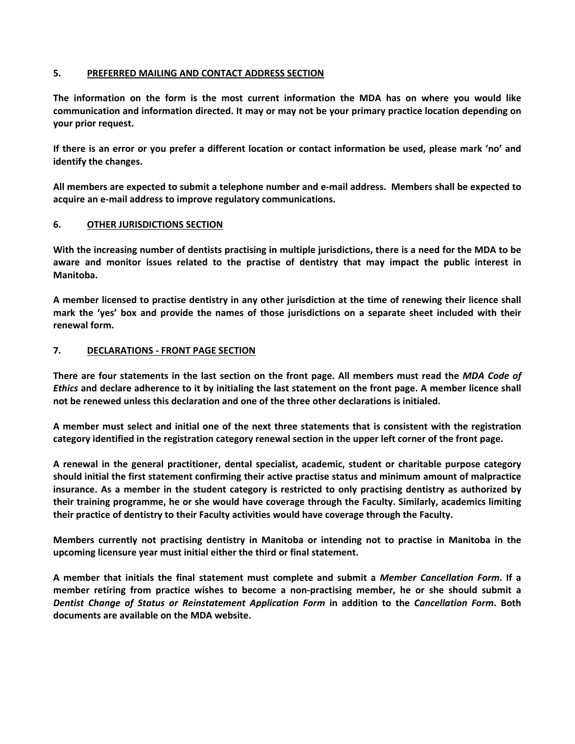## **5. PREFERRED MAILING AND CONTACT ADDRESS SECTION**

**The information on the form is the most current information the MDA has on where you would like communication and information directed. It may or may not be your primary practice location depending on your prior request.** 

**If there is an error or you prefer a different location or contact information be used, please mark 'no' and identify the changes.** 

**All members are expected to submit a telephone number and e‐mail address. Members shall be expected to acquire an e‐mail address to improve regulatory communications.** 

## **6. OTHER JURISDICTIONS SECTION**

**With the increasing number of dentists practising in multiple jurisdictions, there is a need for the MDA to be aware and monitor issues related to the practise of dentistry that may impact the public interest in Manitoba.** 

**A member licensed to practise dentistry in any other jurisdiction at the time of renewing their licence shall mark the 'yes' box and provide the names of those jurisdictions on a separate sheet included with their renewal form.** 

## **7. DECLARATIONS ‐ FRONT PAGE SECTION**

**There are four statements in the last section on the front page. All members must read the** *MDA Code of Ethics* **and declare adherence to it by initialing the last statement on the front page. A member licence shall not be renewed unless this declaration and one of the three other declarations is initialed.** 

**A member must select and initial one of the next three statements that is consistent with the registration category identified in the registration category renewal section in the upper left corner of the front page.** 

**A renewal in the general practitioner, dental specialist, academic, student or charitable purpose category should initial the first statement confirming their active practise status and minimum amount of malpractice insurance. As a member in the student category is restricted to only practising dentistry as authorized by their training programme, he or she would have coverage through the Faculty. Similarly, academics limiting their practice of dentistry to their Faculty activities would have coverage through the Faculty.** 

**Members currently not practising dentistry in Manitoba or intending not to practise in Manitoba in the upcoming licensure year must initial either the third or final statement.** 

**A member that initials the final statement must complete and submit a**  *Member Cancellation Form***. If a member retiring from practice wishes to become a non‐practising member, he or she should submit a**  *Dentist Change of Status or Reinstatement Application Form*  **in addition to the**  *Cancellation Form***. Both documents are available on the MDA website.**